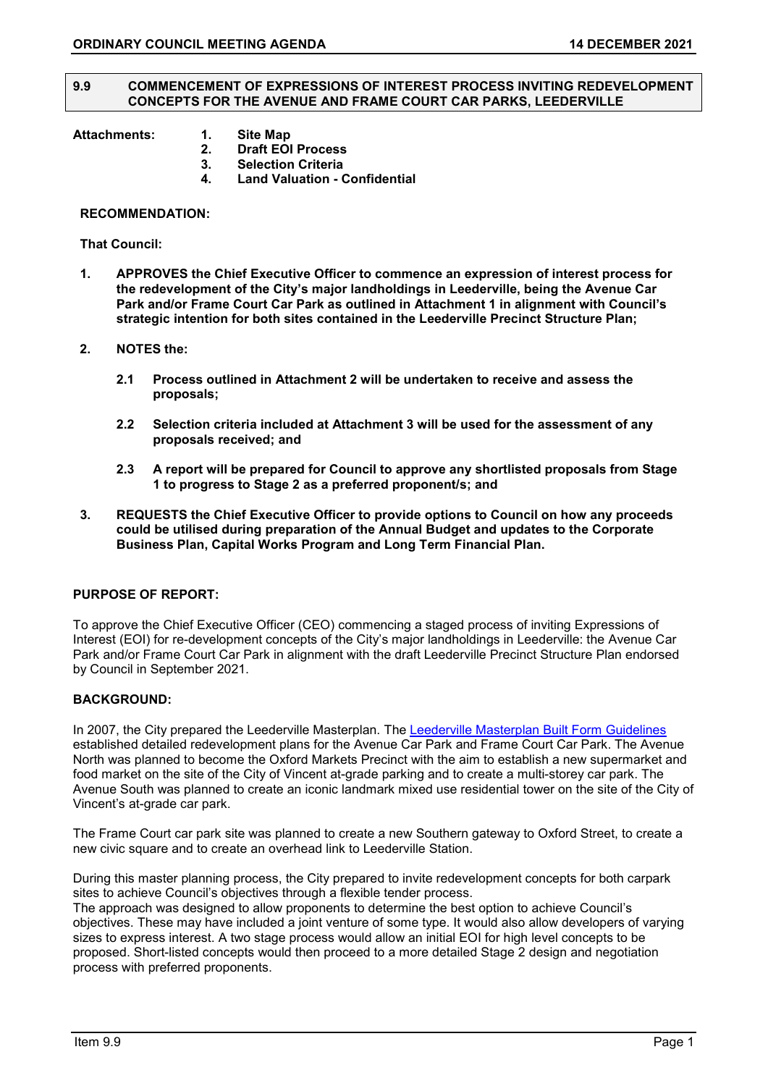#### **9.9 COMMENCEMENT OF EXPRESSIONS OF INTEREST PROCESS INVITING REDEVELOPMENT CONCEPTS FOR THE AVENUE AND FRAME COURT CAR PARKS, LEEDERVILLE**

- **Attachments: 1. Site Map**
	- **2. Draft EOI Process**
	- **3. Selection Criteria 4. Land Valuation - Confidential**

## **RECOMMENDATION:**

**That Council:**

- **1. APPROVES the Chief Executive Officer to commence an expression of interest process for the redevelopment of the City's major landholdings in Leederville, being the Avenue Car Park and/or Frame Court Car Park as outlined in Attachment 1 in alignment with Council's strategic intention for both sites contained in the Leederville Precinct Structure Plan;**
- **2. NOTES the:**
	- **2.1 Process outlined in Attachment 2 will be undertaken to receive and assess the proposals;**
	- **2.2 Selection criteria included at Attachment 3 will be used for the assessment of any proposals received; and**
	- **2.3 A report will be prepared for Council to approve any shortlisted proposals from Stage 1 to progress to Stage 2 as a preferred proponent/s; and**
- **3. REQUESTS the Chief Executive Officer to provide options to Council on how any proceeds could be utilised during preparation of the Annual Budget and updates to the Corporate Business Plan, Capital Works Program and Long Term Financial Plan.**

## **PURPOSE OF REPORT:**

To approve the Chief Executive Officer (CEO) commencing a staged process of inviting Expressions of Interest (EOI) for re-development concepts of the City's major landholdings in Leederville: the Avenue Car Park and/or Frame Court Car Park in alignment with the draft Leederville Precinct Structure Plan endorsed by Council in September 2021.

## **BACKGROUND:**

In 2007, the City prepared the Leederville Masterplan. The [Leederville Masterplan Built Form Guidelines](https://www.vincent.wa.gov.au/Profiles/vincent/Assets/ClientData/Documents/Develop_Build/Future_Vincent/final_BFG-10July2012-web.pdf) established detailed redevelopment plans for the Avenue Car Park and Frame Court Car Park. The Avenue North was planned to become the Oxford Markets Precinct with the aim to establish a new supermarket and food market on the site of the City of Vincent at-grade parking and to create a multi-storey car park. The Avenue South was planned to create an iconic landmark mixed use residential tower on the site of the City of Vincent's at-grade car park.

The Frame Court car park site was planned to create a new Southern gateway to Oxford Street, to create a new civic square and to create an overhead link to Leederville Station.

During this master planning process, the City prepared to invite redevelopment concepts for both carpark sites to achieve Council's objectives through a flexible tender process.

The approach was designed to allow proponents to determine the best option to achieve Council's objectives. These may have included a joint venture of some type. It would also allow developers of varying sizes to express interest. A two stage process would allow an initial EOI for high level concepts to be proposed. Short-listed concepts would then proceed to a more detailed Stage 2 design and negotiation process with preferred proponents.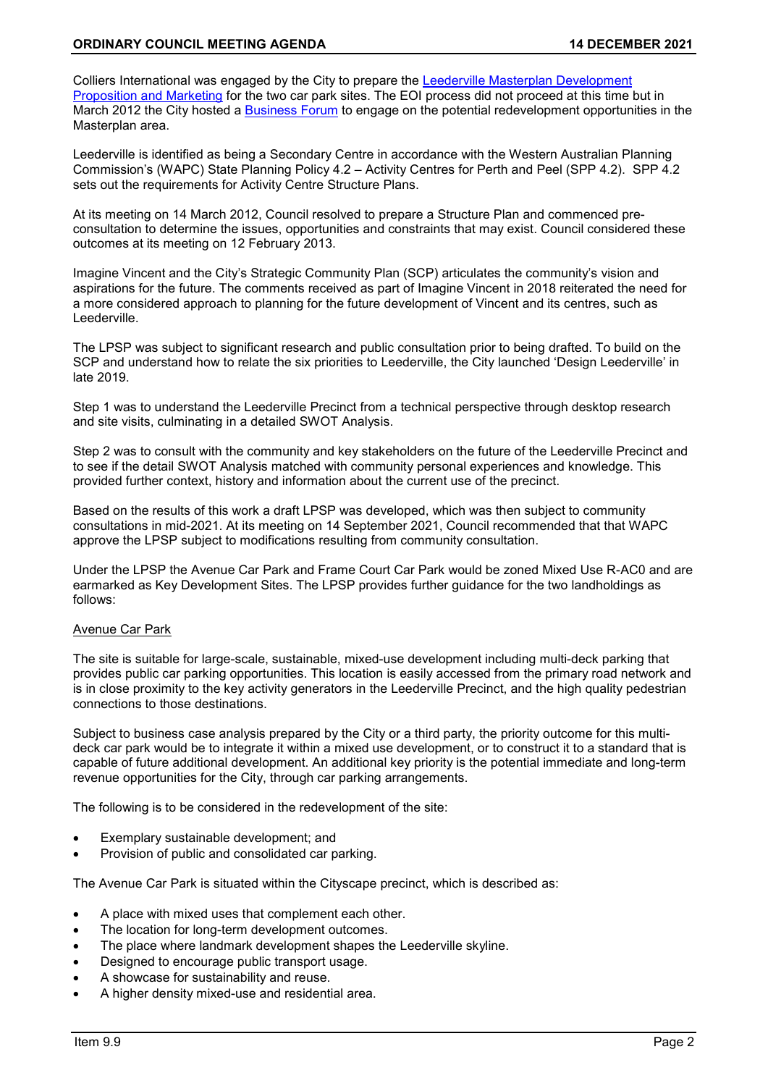Colliers International was engaged by the City to prepare the [Leederville Masterplan Development](https://www.vincent.wa.gov.au/Profiles/vincent/Assets/ClientData/Documents/Develop_Build/Future_Vincent/Colliers_Presentation.pdf)  [Proposition and Marketing](https://www.vincent.wa.gov.au/Profiles/vincent/Assets/ClientData/Documents/Develop_Build/Future_Vincent/Colliers_Presentation.pdf) for the two car park sites. The EOI process did not proceed at this time but in March 2012 the City hosted a [Business Forum](https://www.vincent.wa.gov.au/Profiles/vincent/Assets/ClientData/Documents/Develop_Build/Future_Vincent/Business_Forum_14_March_2012.pdf) to engage on the potential redevelopment opportunities in the Masterplan area.

Leederville is identified as being a Secondary Centre in accordance with the Western Australian Planning Commission's (WAPC) State Planning Policy 4.2 – Activity Centres for Perth and Peel (SPP 4.2). SPP 4.2 sets out the requirements for Activity Centre Structure Plans.

At its meeting on 14 March 2012, Council resolved to prepare a Structure Plan and commenced preconsultation to determine the issues, opportunities and constraints that may exist. Council considered these outcomes at its meeting on 12 February 2013.

Imagine Vincent and the City's Strategic Community Plan (SCP) articulates the community's vision and aspirations for the future. The comments received as part of Imagine Vincent in 2018 reiterated the need for a more considered approach to planning for the future development of Vincent and its centres, such as Leederville.

The LPSP was subject to significant research and public consultation prior to being drafted. To build on the SCP and understand how to relate the six priorities to Leederville, the City launched 'Design Leederville' in late 2019.

Step 1 was to understand the Leederville Precinct from a technical perspective through desktop research and site visits, culminating in a detailed SWOT Analysis.

Step 2 was to consult with the community and key stakeholders on the future of the Leederville Precinct and to see if the detail SWOT Analysis matched with community personal experiences and knowledge. This provided further context, history and information about the current use of the precinct.

Based on the results of this work a draft LPSP was developed, which was then subject to community consultations in mid-2021. At its meeting on 14 September 2021, Council recommended that that WAPC approve the LPSP subject to modifications resulting from community consultation.

Under the LPSP the Avenue Car Park and Frame Court Car Park would be zoned Mixed Use R-AC0 and are earmarked as Key Development Sites. The LPSP provides further guidance for the two landholdings as follows:

# Avenue Car Park

The site is suitable for large-scale, sustainable, mixed-use development including multi-deck parking that provides public car parking opportunities. This location is easily accessed from the primary road network and is in close proximity to the key activity generators in the Leederville Precinct, and the high quality pedestrian connections to those destinations.

Subject to business case analysis prepared by the City or a third party, the priority outcome for this multideck car park would be to integrate it within a mixed use development, or to construct it to a standard that is capable of future additional development. An additional key priority is the potential immediate and long-term revenue opportunities for the City, through car parking arrangements.

The following is to be considered in the redevelopment of the site:

- Exemplary sustainable development; and
- Provision of public and consolidated car parking.

The Avenue Car Park is situated within the Cityscape precinct, which is described as:

- A place with mixed uses that complement each other.
- The location for long-term development outcomes.
- The place where landmark development shapes the Leederville skyline.
- Designed to encourage public transport usage.
- A showcase for sustainability and reuse.
- A higher density mixed-use and residential area.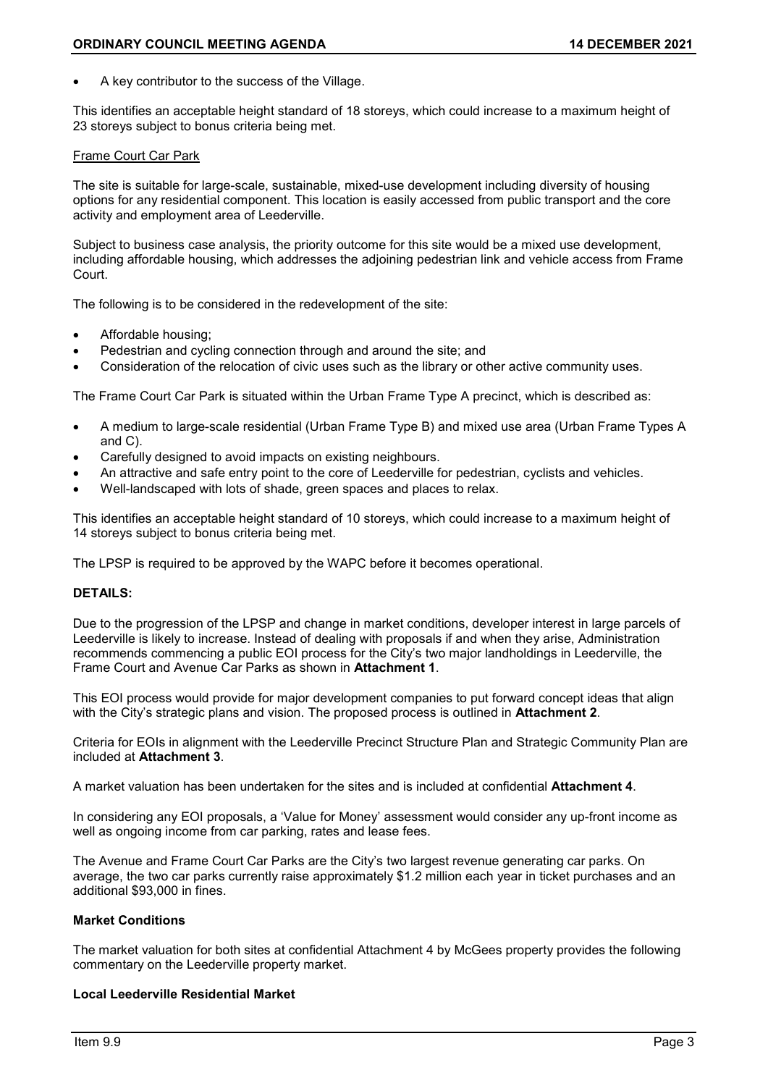• A key contributor to the success of the Village.

This identifies an acceptable height standard of 18 storeys, which could increase to a maximum height of 23 storeys subject to bonus criteria being met.

## Frame Court Car Park

The site is suitable for large-scale, sustainable, mixed-use development including diversity of housing options for any residential component. This location is easily accessed from public transport and the core activity and employment area of Leederville.

Subject to business case analysis, the priority outcome for this site would be a mixed use development, including affordable housing, which addresses the adjoining pedestrian link and vehicle access from Frame Court.

The following is to be considered in the redevelopment of the site:

- Affordable housing;
- Pedestrian and cycling connection through and around the site; and
- Consideration of the relocation of civic uses such as the library or other active community uses.

The Frame Court Car Park is situated within the Urban Frame Type A precinct, which is described as:

- A medium to large-scale residential (Urban Frame Type B) and mixed use area (Urban Frame Types A and C).
- Carefully designed to avoid impacts on existing neighbours.
- An attractive and safe entry point to the core of Leederville for pedestrian, cyclists and vehicles.
- Well-landscaped with lots of shade, green spaces and places to relax.

This identifies an acceptable height standard of 10 storeys, which could increase to a maximum height of 14 storeys subject to bonus criteria being met.

The LPSP is required to be approved by the WAPC before it becomes operational.

## **DETAILS:**

Due to the progression of the LPSP and change in market conditions, developer interest in large parcels of Leederville is likely to increase. Instead of dealing with proposals if and when they arise, Administration recommends commencing a public EOI process for the City's two major landholdings in Leederville, the Frame Court and Avenue Car Parks as shown in **Attachment 1**.

This EOI process would provide for major development companies to put forward concept ideas that align with the City's strategic plans and vision. The proposed process is outlined in **Attachment 2**.

Criteria for EOIs in alignment with the Leederville Precinct Structure Plan and Strategic Community Plan are included at **Attachment 3**.

A market valuation has been undertaken for the sites and is included at confidential **Attachment 4**.

In considering any EOI proposals, a 'Value for Money' assessment would consider any up-front income as well as ongoing income from car parking, rates and lease fees.

The Avenue and Frame Court Car Parks are the City's two largest revenue generating car parks. On average, the two car parks currently raise approximately \$1.2 million each year in ticket purchases and an additional \$93,000 in fines.

# **Market Conditions**

The market valuation for both sites at confidential Attachment 4 by McGees property provides the following commentary on the Leederville property market.

# **Local Leederville Residential Market**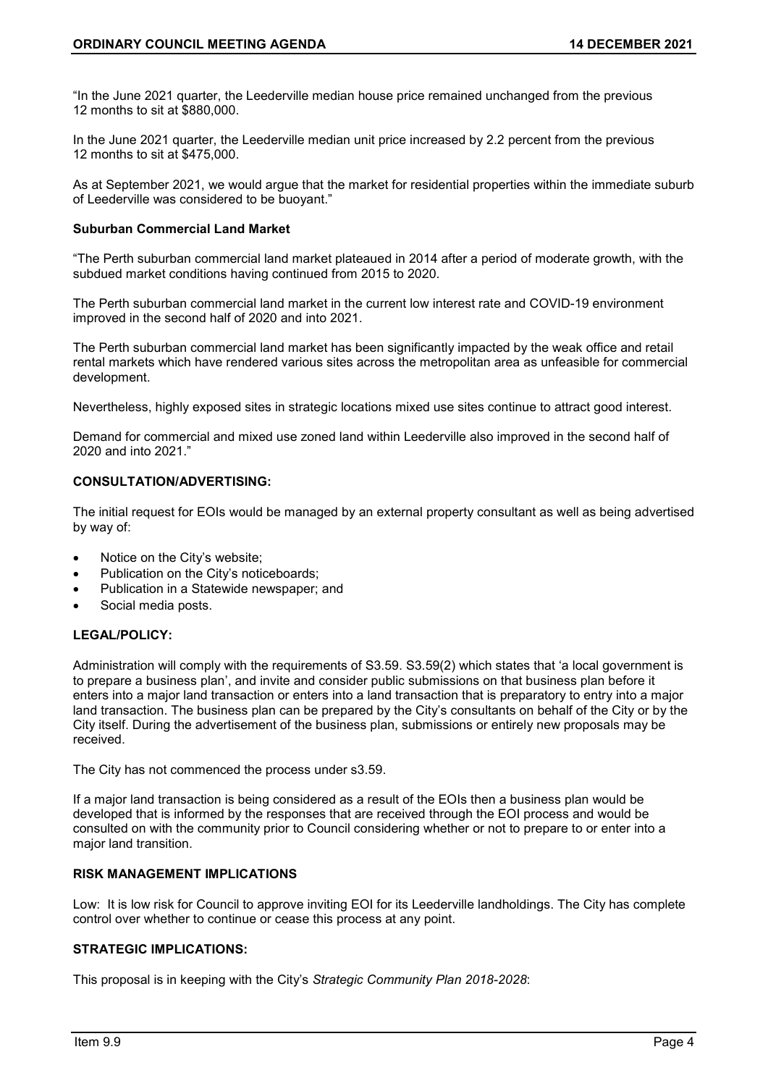"In the June 2021 quarter, the Leederville median house price remained unchanged from the previous 12 months to sit at \$880,000.

In the June 2021 quarter, the Leederville median unit price increased by 2.2 percent from the previous 12 months to sit at \$475,000.

As at September 2021, we would argue that the market for residential properties within the immediate suburb of Leederville was considered to be buoyant."

## **Suburban Commercial Land Market**

"The Perth suburban commercial land market plateaued in 2014 after a period of moderate growth, with the subdued market conditions having continued from 2015 to 2020.

The Perth suburban commercial land market in the current low interest rate and COVID-19 environment improved in the second half of 2020 and into 2021.

The Perth suburban commercial land market has been significantly impacted by the weak office and retail rental markets which have rendered various sites across the metropolitan area as unfeasible for commercial development.

Nevertheless, highly exposed sites in strategic locations mixed use sites continue to attract good interest.

Demand for commercial and mixed use zoned land within Leederville also improved in the second half of 2020 and into 2021."

## **CONSULTATION/ADVERTISING:**

The initial request for EOIs would be managed by an external property consultant as well as being advertised by way of:

- Notice on the City's website;
- Publication on the City's noticeboards;
- Publication in a Statewide newspaper; and
- Social media posts.

# **LEGAL/POLICY:**

Administration will comply with the requirements of S3.59. S3.59(2) which states that 'a local government is to prepare a business plan', and invite and consider public submissions on that business plan before it enters into a major land transaction or enters into a land transaction that is preparatory to entry into a major land transaction. The business plan can be prepared by the City's consultants on behalf of the City or by the City itself. During the advertisement of the business plan, submissions or entirely new proposals may be received.

The City has not commenced the process under s3.59.

If a major land transaction is being considered as a result of the EOIs then a business plan would be developed that is informed by the responses that are received through the EOI process and would be consulted on with the community prior to Council considering whether or not to prepare to or enter into a major land transition.

# **RISK MANAGEMENT IMPLICATIONS**

Low: It is low risk for Council to approve inviting EOI for its Leederville landholdings. The City has complete control over whether to continue or cease this process at any point.

# **STRATEGIC IMPLICATIONS:**

This proposal is in keeping with the City's *Strategic Community Plan 2018-2028*: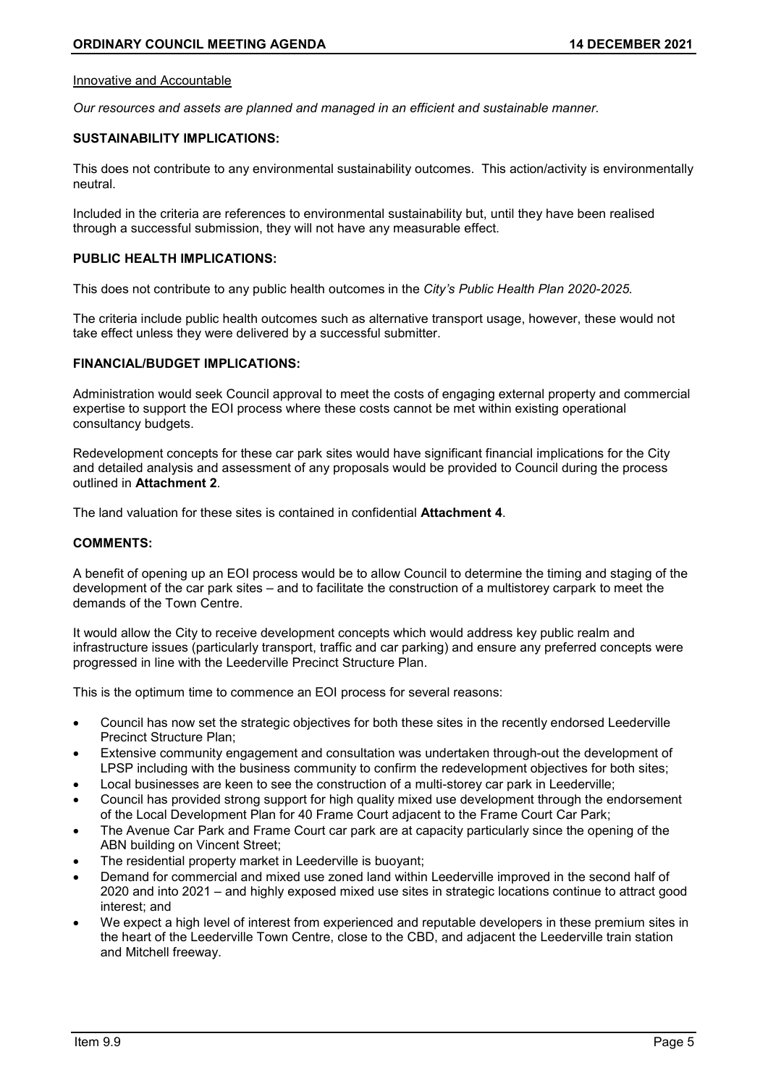## Innovative and Accountable

*Our resources and assets are planned and managed in an efficient and sustainable manner.*

# **SUSTAINABILITY IMPLICATIONS:**

This does not contribute to any environmental sustainability outcomes. This action/activity is environmentally neutral.

Included in the criteria are references to environmental sustainability but, until they have been realised through a successful submission, they will not have any measurable effect.

## **PUBLIC HEALTH IMPLICATIONS:**

This does not contribute to any public health outcomes in the *City's Public Health Plan 2020-2025.*

The criteria include public health outcomes such as alternative transport usage, however, these would not take effect unless they were delivered by a successful submitter.

# **FINANCIAL/BUDGET IMPLICATIONS:**

Administration would seek Council approval to meet the costs of engaging external property and commercial expertise to support the EOI process where these costs cannot be met within existing operational consultancy budgets.

Redevelopment concepts for these car park sites would have significant financial implications for the City and detailed analysis and assessment of any proposals would be provided to Council during the process outlined in **Attachment 2**.

The land valuation for these sites is contained in confidential **Attachment 4**.

## **COMMENTS:**

A benefit of opening up an EOI process would be to allow Council to determine the timing and staging of the development of the car park sites – and to facilitate the construction of a multistorey carpark to meet the demands of the Town Centre.

It would allow the City to receive development concepts which would address key public realm and infrastructure issues (particularly transport, traffic and car parking) and ensure any preferred concepts were progressed in line with the Leederville Precinct Structure Plan.

This is the optimum time to commence an EOI process for several reasons:

- Council has now set the strategic objectives for both these sites in the recently endorsed Leederville Precinct Structure Plan;
- Extensive community engagement and consultation was undertaken through-out the development of LPSP including with the business community to confirm the redevelopment objectives for both sites;
- Local businesses are keen to see the construction of a multi-storey car park in Leederville;
- Council has provided strong support for high quality mixed use development through the endorsement of the Local Development Plan for 40 Frame Court adjacent to the Frame Court Car Park;
- The Avenue Car Park and Frame Court car park are at capacity particularly since the opening of the ABN building on Vincent Street;
- The residential property market in Leederville is buoyant;
- Demand for commercial and mixed use zoned land within Leederville improved in the second half of 2020 and into 2021 – and highly exposed mixed use sites in strategic locations continue to attract good interest; and
- We expect a high level of interest from experienced and reputable developers in these premium sites in the heart of the Leederville Town Centre, close to the CBD, and adjacent the Leederville train station and Mitchell freeway.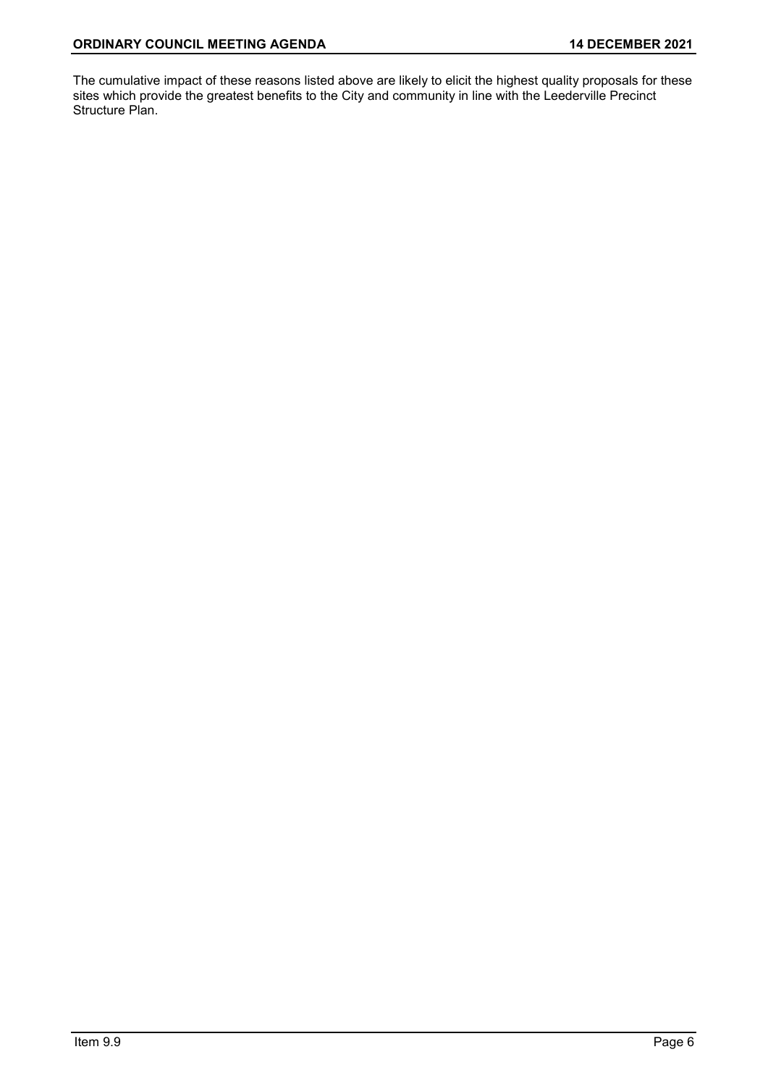The cumulative impact of these reasons listed above are likely to elicit the highest quality proposals for these sites which provide the greatest benefits to the City and community in line with the Leederville Precinct Structure Plan.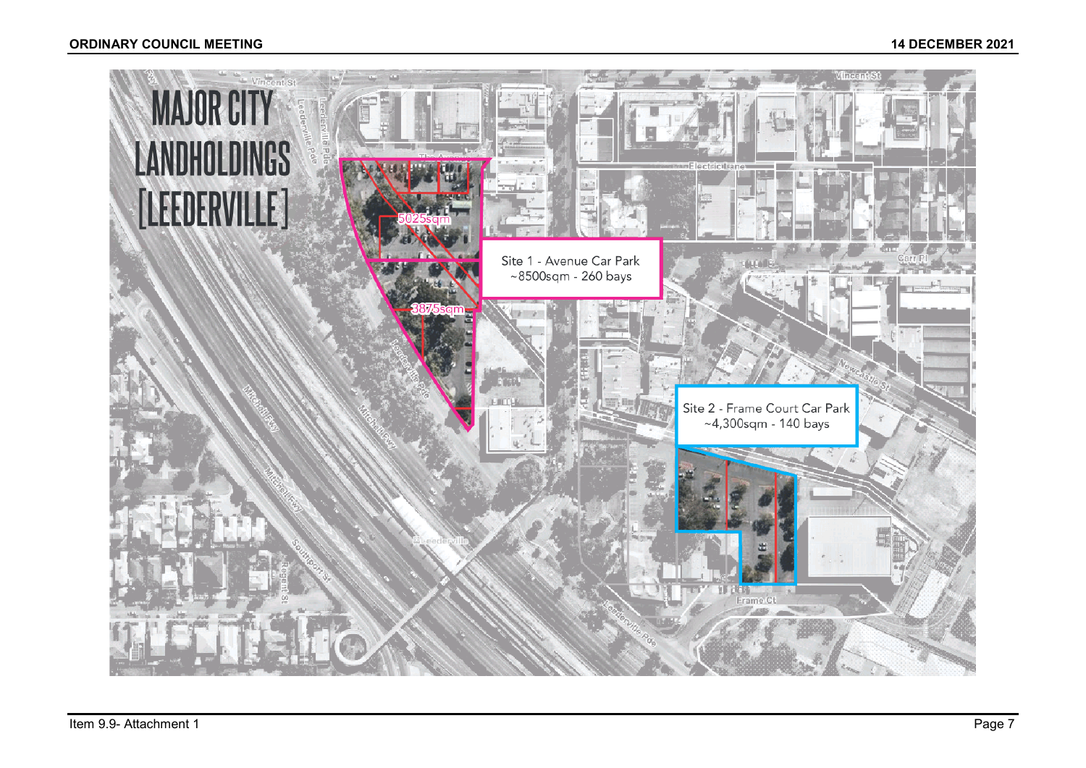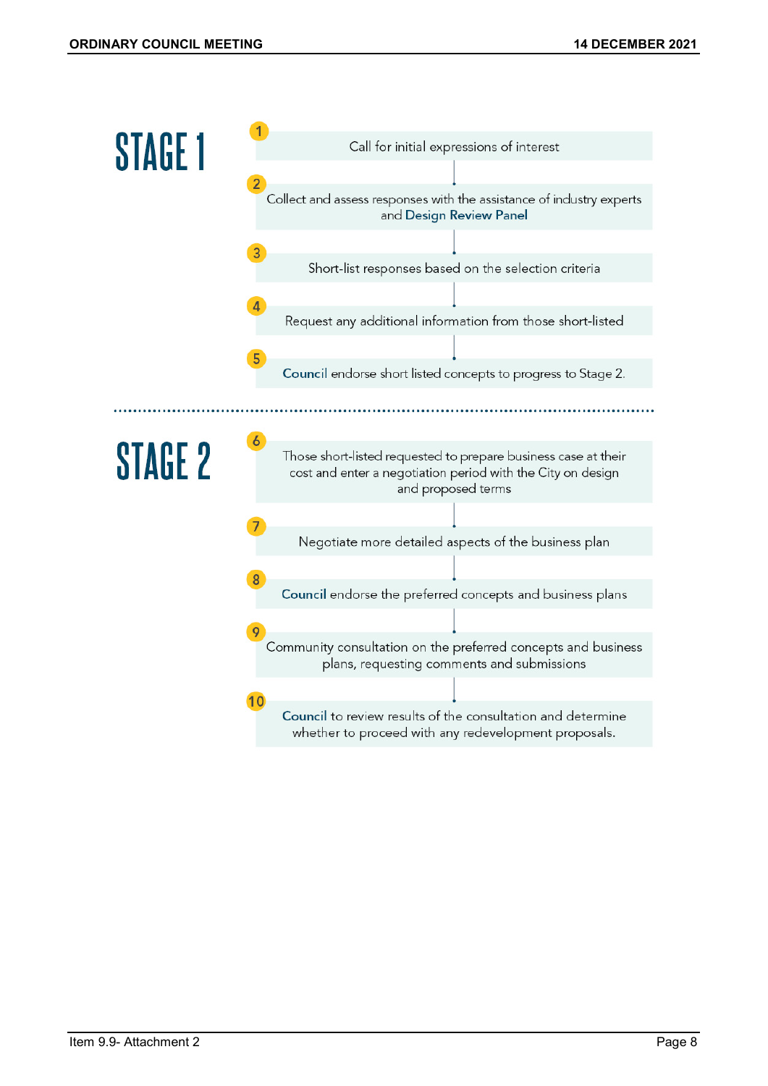